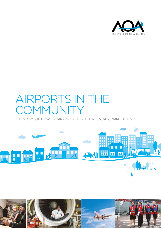

### AIRPORTS IN THE **COMMUNITY**

THE STORY OF HOW UK AIRPORTS HELP THEIR LOCAL COMMUNITIES



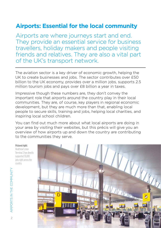### **Airports: Essential for the local community**

Airports are where journeys start and end. They provide an essential service for business travellers, holiday makers and people visiting friends and relatives. They are also a vital part of the UK's transport network.

The aviation sector is a key driver of economic growth, helping the UK to create businesses and jobs. The sector contributes over £50 billion to the UK economy, provides over a million jobs, supports 2.5 million tourism jobs and pays over £8 billion a year in taxes.

Impressive though these numbers are, they don't convey the important role that airports around the country play in their local communities. They are, of course, key players in regional economic development, but they are much more than that, enabling local people to secure skills, training and jobs, helping local charities, and inspiring local school children.

You can find out much more about what local airports are doing in your area by visiting their websites, but this précis will give you an overview of how airports up and down the country are contributing to the communities they serve.

**Pictured right:** 

Heathrow's new Terminal 2 has directly supported 35,000 jobs right across the country.

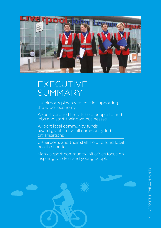

### EXECUTIVE SUMMARY

UK airports play a vital role in supporting the wider economy

Airports around the UK help people to find jobs and start their own businesses

Airport local community funds award grants to small community-led organisations

UK airports and their staff help to fund local health charities

Many airport community initiatives focus on inspiring children and young people

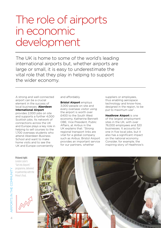### The role of airports in economic development

The UK is home to some of the world's leading international airports but, whether airports are large or small, it is easy to underestimate the vital role that they play in helping to support the wider economy.

A strong and well-connected airport can be a crucial element in the success of local businesses. **Aberdeen International Airport**

provides 2,000 jobs on site and supports a further 4,000 Scottish jobs. Its network of connections across the UK and Europe plays a key role in helping to sell courses to the 1,700 overseas students who attend Aberdeen Business School and want to make home visits and to see the UK and Europe conveniently

and affordably.

**Bristol Airport** employs 3,000 people on site and every overseas visitor using the airport is worth over £400 to the South West economy. Katherine Bennett OBE, Vice President, Public Affairs, at Airbus in the UK explains that: "Strong regional transport links are vital for a global company such as Airbus. Bristol Airport provides an important service for our partners, whether

suppliers or employees, thus enabling aerospace technology and know-how, designed in the region, to be put to maximum use".

**Heathrow Airport** is one of the largest employment sites in the UK, with over 76,000 employees and 320 businesses. It accounts for one in five local jobs, but it also has a significant impact on the national economy. Consider, for example, the inspiring story of Heathrow's

#### **Pictured right:**

London Luton's "Get into Airports" programme, delivered in partnership with the Prince's Trust.





AIRPORTS IN THE COMMUNITY

AIRPORTS IN THE COMMUNITY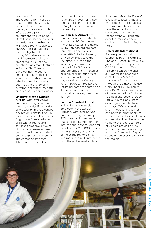brand new Terminal 2. The Queen's Terminal was "made in Britain". At £2.5 billion, it has been one of the largest privately funded infrastructure projects in the country and will welcome 20 million passengers a year. Its design and construction will have directly supported 35,000 jobs right across the country, from the 77 tonne, 70 metre entrance hall Slipstream sculpture, fabricated in Hull to the direction signs manufactured in Exeter. The Terminal 2 project has helped to underline that there is a wealth of expertise, skills and talent across the country and that the UK remains extremely competitive, both on price and product quality.

#### **Liverpool's John Lennon**

**Airport**, with over 2,000 people working on or near the site, is a significant driver of prosperity in the Liverpool city region, contributing £170 million to the local economy. Cognitio, a Cheshire-based professional marketing services company, is typical of local businesses whose growth has been facilitated by the airport's connections. The company says that it has gained where both

leisure and business routes have grown, describing new routes to Poland, in particular, as "a gift to the business community".

**London City Airport** has routes to over 40 destinations across the UK, Europe and the United States and nearly 3.5 million passengers pass through its doors every year. KPMG Senior Partner, Dr. Ashley Steel, says that the airport "is important in helping to make our merged KPMG Europe operate efficiently. It enables colleagues from our offices across Europe to do a full day's work at our Canary Wharf European HQ before returning home the same day. It enables our European firm to provide the very best client service".

#### **London Stansted Airport**

is the biggest single site employer in the East of England, with over 10,200 people working for nearly 200 on-airport companies. Stansted offers more than 150 international connections and handles over 200,000 tonnes of cargo a year, helping to connect the region's small and medium sized enterprises with the global marketplace.

Its annual 'Meet the Buyers' event gives local SMEs and entrepreneurs direct access to companies based at or near the airport and it is estimated that the most recent event will generate over £1.5 million of new contracts for East of England firms.

#### **Newcastle International**

**Airport** plays a vital economic role in North East England. It contributes 3,200 jobs on site and supports 8,000 in the North East region, to which it makes a £650 million economic contribution. Since 2006 the value of exports flown through the airport has risen from under £20 million to over £250 million, with most of them carried by Emirates to Dubai and beyond. Duco Ltd, a £60 million subsea oil and gas manufacturer, employs 500 people at it site in Newcastle and flies engineers internationally to work on projects, installations and repairs. Then there is the value to the local economy of visitors arriving at the airport, with each incoming visitor to Newcastle Airport spending on average £720 in the region.

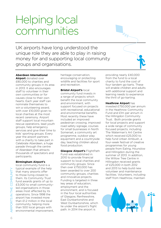### Helping local communities

UK airports have long understood the unique role they are able to play in raising money for and supporting local community groups and organisations.

#### **Aberdeen International**

**Airport** donated over £80,000 to charities and community groups in its area in 2013. It also encourages staff to volunteer in their own communities or for causes close to their own hearts. Each year staff can nominate themselves to win a volunteering award, with over £10,000 given to local charities at the most recent ceremony. Airport staff support local mountain rescue operations, lead youth groups, help emergency services and give their time to kids' sporting groups. Every year the airport partners with a charity to take part in Celebrate Aberdeen, a huge parade through the centre of Aberdeen that attracts thousands of spectators and participants.

#### **Birmingham Airport's**

local community fund is a typical example of the help that many airports offer to those living closest to them. Its Community Trust fund awards grants of up to £3,000 to small communityled organisations in those areas most affected by its operations. Since 1998 the airport has invested more than £1.2 million in the local community, helping more than 500 local groups with environmental improvement, heritage conservation, encouraging or protecting wildlife and facilities for sport and recreation.

**Bristol Airport's** local community fund invests in a range of projects which benefit the local community and environment, with support focused on projects with recreational, educational and environmental benefits. Most recently these have included an improved pedestrian crossing, improved road safety signage, courses for small businesses in North Somerset, a community art programme, outdoor play equipment and a countryside day, teaching children about food production.

**Glasgow Airport's** FlightPath Fund was established in 2010 to provide financial support to local charities and community groups. Since then over £750,000 has been awarded to over 200 community groups, charities and innovative projects. Funding is targeted in three key areas of education, employment and the environment, and is focused in the four local authorities of Glasgow, Renfrewshire, East Dunbartonshire and West Dunbartonshire, which lie under the airport's flight path. In 2014 the airport is

providing nearly £40,000 from the fund to a local charity to fund the cost of four tandem go-karts. These will enable children and adults with additional support and learning needs to experience the thrill of go-karting.

#### **Heathrow Airport** has

invested £750,000 per annum in the Heathrow Community Fund and £1m per annum in the Hillingdon Community Trust. Both provide grants for local projects and support a wide range of community focused projects, including The Waterman's Art Centre which received £25,000 to help fund Urban Ambush, a four-week festival of creative programmes for young people from Ealing, Hounslow and Hillingdon during the summer of 2013. In addition, the Willow Tree Centre in Hillingdon received grants of £25,000 in both 2012 and 2013 to help build new volunteer and maintenance facilities. Volunteers, including staff from Heathrow, maintain

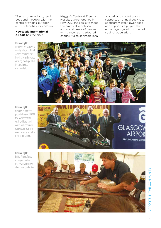15 acres of woodland, reed beds and meadow with the centre providing outdoor activity facilities for children.

#### **Newcastle International Airport** has the city's

#### **Pictured right:**

Residents of Blackwell, a nearby village to Bristol Airport, celebrate the building of an improved crossing, made possible by the airport's community fund.

Maggie's Centre at Freeman Hospital, which opened in May 2013 and seeks to meet the practical, emotional and social needs of people with cancer, as its adopted charity. It also sponsors local football and cricket teams, supports an annual duck race, sponsors village flower beds and supports a project that encourages growth of the red squirrel population.



#### **Pictured right:**

Glasgow Airport has provided nearly £40,000 to a local charity to enable children and adults with additional support and learning needs to experience the thrill of go-karting.



#### **Pictured right:**

Bristol Airport funds a programme that teaches local children about food production.



AIRPORTS IN THE COMMUNITY AIRPORTS IN THE COMMUNITY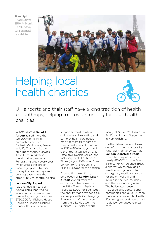#### **Pictured right:**

Luton Airport raised £35,000 for the charity Sue Ryder by taking part in a sponsored cycle ride to Paris.



# Helping local health charities



UK airports and their staff have a long tradition of health philanthropy, helping to provide funding for local health charities.

In 2013, staff at **Gatwick Airport** raised more than £25,000 for its three nominated charities: St Catherine's Hospice, Sussex Wildlife Trust and its own on-airport charity Gatwick TravelCare. In addition the airport organises a Fundraising Week every year which unites the airport. encouraging staff to raise money in creative ways and offering passengers the opportunity to contribute also.

#### **London City Airport**

has provided 15 years of fundraising support to its local charity partner across the docks, raising more than £750,000 for Richard House Children's Hospice. Richard House offers free care and

support to families whose children have life-limiting and complex healthcare needs, many of them from some of the poorest areas of London. In 2013 a 40-strong group of City Airport staff, led by Chief Executive, Declan Collier (and including local MP, Stephen Timms), cycled 166 miles from London to Amsterdam and raised £25,000 for the hospice.

Around the same time, employees of **London Luton Airport** cycled from the airport's control tower to the Eiffel Tower in Paris and raised £35,000 for Sue Ryder, the charity that provides care for people with life-changing illnesses. All of the proceeds from the bike ride went to support Sue Ryder's work

locally at St John's Hospice in Bedfordshire and Stagenhoe in Hertfordshire.

Hertfordshire has also been one of the beneficiaries of a fundraising drive by staff at **London Stansted Airport**, which has helped to raise nearly £15,000 for the Essex & Herts Air Ambulance Trust, a charity which provides a free life-saving helicopter emergency medical service for the critically ill and injured in the two counties and the surrounding area. The helicopters ensure that specialist doctors and paramedics can quickly reach the scene of an incident with life-saving support equipment to deliver advanced clinical care.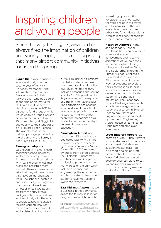# Inspiring children and young people

Since the very first flights, aviation has always fired the imagination of children and young people, so it is not surprising that many airport community initiatives focus on this group.

**Biggin Hill**, a major business aviation airport, is in the second year of its Nick Davidson memorial flying scholarship. Captain Nick Davidson was a British Airways pilot, who had earlier spent time as an instructor at Biggin Hill. Just before he died from cancer in 2012 he agreed to fund a legacy which would enable a young person between the ages of 18 and 25 to learn to fly at Biggin Hill and qualify to the standard of a full Private Pilot's Licence. The overall value of the training package provided by the airport and the Surrey & Kent Flying Club is £10,000.

#### **Birmingham Airport's**

partnership with Small Heath secondary school has been in place for seven years and focuses on providing students with real-life experiences that excite and challenge them and help them to develop the skills that they will need when they leave school and start work. The school is located in one of inner city Birmingham's most deprived wards and almost all of its 1,300 pupils are from minority ethnic backgrounds. The airport has worked closely with the school to enable teachers to exploit the rich learning resource that it represents to embed work-related learning into the

curriculum, delivering projects that help students become more employable and confident individuals. Highlights have included preparing and serving food to 350 VIP guests at the Royal opening of the airport's £50 million international pier. The partnership has become a cornerstone of the school's innovative approach to workrelated learning, which has been widely recognised as a model for future partnerships between business and education.

**Birmingham Airport** also has its own Flight School, a dedicated facility within the terminal building, opened by Business Secretary, Vince Cable MP, in 2012 and used by pupils from schools across the Midlands. Airport staff and teachers work together to develop projects covering many areas of the curriculum, including science and engineering, the environment and history study days, where students have met Second World War veterans.

**East Midlands Airport** has won a Business in the Community award for its work inspiration programmes, which provide

**Pictured right:** Students at Horsforth School in Leeds developed a business plan to set up and run their own airline from Leeds Bradford Airport.

week-long opportunities for students to understand the varied roles in the travel and tourism sector that are available at the airport and other roles for students with an interest in science, technology, engineering or mathematics.

**Heathrow Airport's** Primary and Secondary School Challenge has been developed to support academic achievement and raise the aspirations of young people in the boroughs of Ealing, Hillingdon, Hounslow, Slough and Spelthorne. Through the Primary School Challenge the airport invests in over 50 schools, providing a fun way for students to explore their enterprise skills, help students' social and personal development and motivate students to continue in education. The Secondary School Challenge, meanwhile, aims to encourage further study and a career in Science, Technology, Maths and Engineering, and is supported by Heathrow Engineering Apprenticeships, Engineering Managers and employee volunteers.

**Leeds Bradford Airport** has

partnered with British Airways to offer students from schools across West Yorkshire an aviation master class, led by airport and airline staff. Fifteen schools from across West Yorkshire competed to develop business plans to set up and run their own airline, with the prize being awarded to Horsforth School in Leeds.

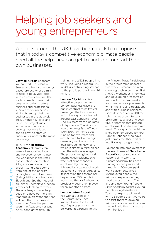### Helping job seekers and young entrepreneurs

Airports around the UK have been quick to recognise that in today's competitive economic climate people need all the help they can get to find jobs or start their own businesses.

**Gatwick Airport** sponsors Young Start-Up Talent, a Sussex and Kent communitybased project whose aim is to help 16 to 25 year-olds with an entrepreneurial flair for business to make their dreams a reality. It offers business and professional support to young people aiming to set up their own businesses in the Gatwick area, Brighton & Hove and Kent. The project runs workshops in schools to develop business ideas and to provide start-up financial support for the most promising.

In 2014 the **Heathrow Academy** celebrates ten years of supporting local unemployed residents into the workplace in the retail, construction and aviation & logistics sectors at the airport. Candidates come from one of the priority boroughs around Heathrow (Ealing, Hillingdon, Hounslow, Slough and Spelthorne) and are either unemployed, school leavers or looking for work. The academy courses help people to develop the skills that employers want and that will help them to thrive at Heathrow. Over the past ten years the Academy has put 3,446 candidates through

training and 2,323 people into work (including a record 525 in 2013), contributing savings to the public purse of over £6 million.

**London City Airport** is an attractive proposition for London business travellers but, in contrast to its typical passenger, the local area in which the airport is situated around East London's Royal Docks suffers from high rates of deprivation. The airport's award-winning Take off into Work programme has been running for five years and aims to help tackle the high unemployment rate in the local borough of Newham, which is almost a third higher than the national average. The programme gives local unemployed residents two weeks of airport-specific employability training, followed by a two-week work placement at the airport. Since its inception the scheme has helped over 350 people into work, two thirds of whom had previously been unemployed for six months or more.

#### **London Luton Airport**

has won a Business in the Community Local Impact Award for its Get into Airports programme, delivered in partnership with the Prince's Trust. Participants in the programme undergo two weeks intensive training, covering such aspects as First Aid, CV workshops, interviews and developing presentation skills. A further two weeks are spent in work placements within the airport's operations and with business partners. Since its inception in 2011 the scheme has grown to two programmes a year and seen 65% of participants gaining employment onsite as a direct result. The airport's model has since been employed by First Capital Connect, who have just completed their first Get into Railways programme.

Education into employment is the lead theme of **Manchester Airport's** corporate social responsibility work. Its Airport Academy has been running for ten years and, through its 20-week paid work placements gives unemployed people the skills and experience they need to secure work. The airport's new Young People Skills Academy targets young people in Wythenshawe. Teams of experts will work with 75 people over two years to assist them to develop skills and obtain qualifications that will help them to secure their first jobs.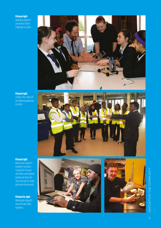#### **Pictured right:**

Heathrow Airport's Secondary School Challenge in action.



#### **Pictured right:**

London City's Take off into Work programme in action.



#### **Pictured right:**

Manchester Airport's Academy has been running for 10 years and helps unemployed people get back into work through 20-week paid work placements.

#### **Pictured far right:**

Manchester Airport's Young People Skills Academy.